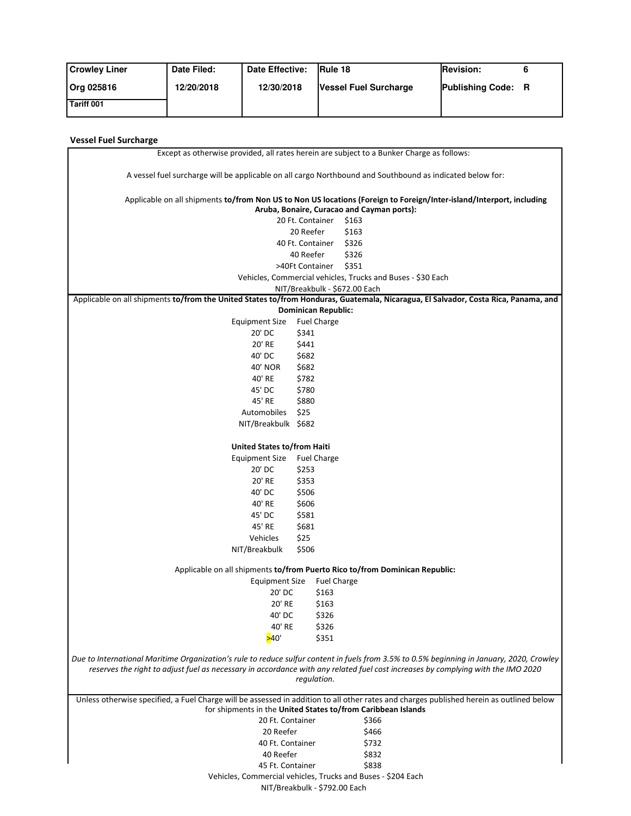| <b>Crowley Liner</b> | Date Filed: | Date Effective: | Rule 18                      | <b>Revision:</b>          |  |
|----------------------|-------------|-----------------|------------------------------|---------------------------|--|
| Org 025816           | 12/20/2018  | 12/30/2018      | <b>Vessel Fuel Surcharge</b> | <b>Publishing Code: R</b> |  |
| Tariff 001           |             |                 |                              |                           |  |

## **Vessel Fuel Surcharge**

Ė

| Except as otherwise provided, all rates herein are subject to a Bunker Charge as follows:                                                                                                                                                                                     |                            |                                                                                                                                                                    |  |  |  |  |
|-------------------------------------------------------------------------------------------------------------------------------------------------------------------------------------------------------------------------------------------------------------------------------|----------------------------|--------------------------------------------------------------------------------------------------------------------------------------------------------------------|--|--|--|--|
| A vessel fuel surcharge will be applicable on all cargo Northbound and Southbound as indicated below for:                                                                                                                                                                     |                            |                                                                                                                                                                    |  |  |  |  |
|                                                                                                                                                                                                                                                                               |                            | Applicable on all shipments to/from Non US to Non US locations (Foreign to Foreign/Inter-island/Interport, including<br>Aruba, Bonaire, Curacao and Cayman ports): |  |  |  |  |
|                                                                                                                                                                                                                                                                               | 20 Ft. Container           | \$163                                                                                                                                                              |  |  |  |  |
|                                                                                                                                                                                                                                                                               | 20 Reefer                  | \$163                                                                                                                                                              |  |  |  |  |
|                                                                                                                                                                                                                                                                               | 40 Ft. Container           | \$326                                                                                                                                                              |  |  |  |  |
|                                                                                                                                                                                                                                                                               | 40 Reefer                  | \$326                                                                                                                                                              |  |  |  |  |
|                                                                                                                                                                                                                                                                               | >40Ft Container            | \$351                                                                                                                                                              |  |  |  |  |
|                                                                                                                                                                                                                                                                               |                            |                                                                                                                                                                    |  |  |  |  |
| Vehicles, Commercial vehicles, Trucks and Buses - \$30 Each<br>NIT/Breakbulk - \$672.00 Each                                                                                                                                                                                  |                            |                                                                                                                                                                    |  |  |  |  |
| Applicable on all shipments to/from the United States to/from Honduras, Guatemala, Nicaragua, El Salvador, Costa Rica, Panama, and                                                                                                                                            |                            |                                                                                                                                                                    |  |  |  |  |
|                                                                                                                                                                                                                                                                               | <b>Dominican Republic:</b> |                                                                                                                                                                    |  |  |  |  |
| <b>Equipment Size</b>                                                                                                                                                                                                                                                         | <b>Fuel Charge</b>         |                                                                                                                                                                    |  |  |  |  |
| 20' DC                                                                                                                                                                                                                                                                        | \$341                      |                                                                                                                                                                    |  |  |  |  |
| 20' RE                                                                                                                                                                                                                                                                        | \$441                      |                                                                                                                                                                    |  |  |  |  |
| 40' DC                                                                                                                                                                                                                                                                        | \$682                      |                                                                                                                                                                    |  |  |  |  |
| 40' NOR                                                                                                                                                                                                                                                                       | \$682                      |                                                                                                                                                                    |  |  |  |  |
| 40' RE                                                                                                                                                                                                                                                                        | \$782                      |                                                                                                                                                                    |  |  |  |  |
| 45' DC                                                                                                                                                                                                                                                                        | \$780                      |                                                                                                                                                                    |  |  |  |  |
| 45' RE                                                                                                                                                                                                                                                                        | \$880                      |                                                                                                                                                                    |  |  |  |  |
| Automobiles                                                                                                                                                                                                                                                                   | \$25                       |                                                                                                                                                                    |  |  |  |  |
| NIT/Breakbulk \$682                                                                                                                                                                                                                                                           |                            |                                                                                                                                                                    |  |  |  |  |
|                                                                                                                                                                                                                                                                               |                            |                                                                                                                                                                    |  |  |  |  |
| United States to/from Haiti                                                                                                                                                                                                                                                   |                            |                                                                                                                                                                    |  |  |  |  |
| Equipment Size                                                                                                                                                                                                                                                                | <b>Fuel Charge</b>         |                                                                                                                                                                    |  |  |  |  |
| 20' DC                                                                                                                                                                                                                                                                        | \$253                      |                                                                                                                                                                    |  |  |  |  |
| 20' RE                                                                                                                                                                                                                                                                        | \$353                      |                                                                                                                                                                    |  |  |  |  |
| 40' DC                                                                                                                                                                                                                                                                        | \$506                      |                                                                                                                                                                    |  |  |  |  |
| 40' RE                                                                                                                                                                                                                                                                        | \$606                      |                                                                                                                                                                    |  |  |  |  |
| 45' DC                                                                                                                                                                                                                                                                        | \$581                      |                                                                                                                                                                    |  |  |  |  |
| 45' RE                                                                                                                                                                                                                                                                        | \$681                      |                                                                                                                                                                    |  |  |  |  |
| Vehicles                                                                                                                                                                                                                                                                      | \$25                       |                                                                                                                                                                    |  |  |  |  |
| NIT/Breakbulk                                                                                                                                                                                                                                                                 | \$506                      |                                                                                                                                                                    |  |  |  |  |
|                                                                                                                                                                                                                                                                               |                            |                                                                                                                                                                    |  |  |  |  |
| Applicable on all shipments to/from Puerto Rico to/from Dominican Republic:                                                                                                                                                                                                   |                            |                                                                                                                                                                    |  |  |  |  |
| Equipment Size                                                                                                                                                                                                                                                                | <b>Fuel Charge</b>         |                                                                                                                                                                    |  |  |  |  |
| 20' DC                                                                                                                                                                                                                                                                        | \$163                      |                                                                                                                                                                    |  |  |  |  |
| 20' RE                                                                                                                                                                                                                                                                        | \$163                      |                                                                                                                                                                    |  |  |  |  |
| 40' DC                                                                                                                                                                                                                                                                        | \$326                      |                                                                                                                                                                    |  |  |  |  |
| 40' RE                                                                                                                                                                                                                                                                        | \$326                      |                                                                                                                                                                    |  |  |  |  |
| >40'                                                                                                                                                                                                                                                                          | \$351                      |                                                                                                                                                                    |  |  |  |  |
| Due to International Maritime Organization's rule to reduce sulfur content in fuels from 3.5% to 0.5% beginning in January, 2020, Crowley<br>reserves the right to adjust fuel as necessary in accordance with any related fuel cost increases by complying with the IMO 2020 |                            |                                                                                                                                                                    |  |  |  |  |
|                                                                                                                                                                                                                                                                               | regulation.                |                                                                                                                                                                    |  |  |  |  |
| Unless otherwise specified, a Fuel Charge will be assessed in addition to all other rates and charges published herein as outlined below                                                                                                                                      |                            |                                                                                                                                                                    |  |  |  |  |
| for shipments in the United States to/from Caribbean Islands                                                                                                                                                                                                                  |                            |                                                                                                                                                                    |  |  |  |  |
| 20 Ft. Container                                                                                                                                                                                                                                                              |                            | \$366                                                                                                                                                              |  |  |  |  |
| 20 Reefer                                                                                                                                                                                                                                                                     |                            | \$466                                                                                                                                                              |  |  |  |  |
| 40 Ft. Container                                                                                                                                                                                                                                                              |                            | \$732                                                                                                                                                              |  |  |  |  |
| 40 Reefer                                                                                                                                                                                                                                                                     |                            | \$832                                                                                                                                                              |  |  |  |  |
| 45 Ft. Container                                                                                                                                                                                                                                                              |                            | \$838                                                                                                                                                              |  |  |  |  |
| Vehicles, Commercial vehicles, Trucks and Buses - \$204 Each                                                                                                                                                                                                                  |                            |                                                                                                                                                                    |  |  |  |  |
| NIT/Breakbulk - \$792.00 Each                                                                                                                                                                                                                                                 |                            |                                                                                                                                                                    |  |  |  |  |